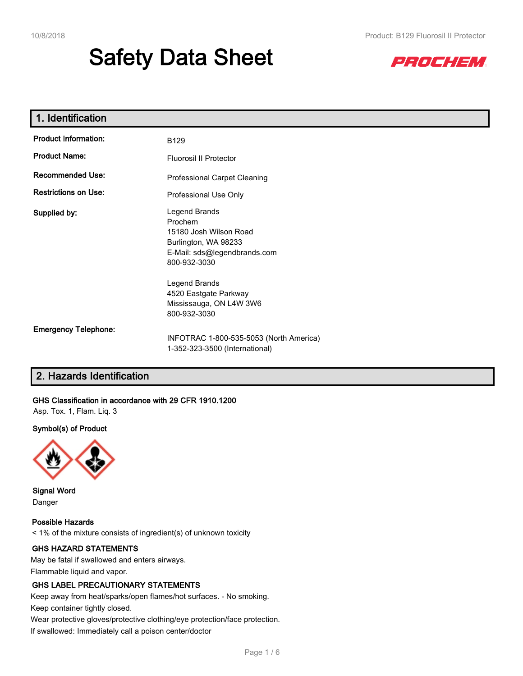# **Safety Data Sheet**



| 1. Identification           |                                                                                                                            |  |  |  |
|-----------------------------|----------------------------------------------------------------------------------------------------------------------------|--|--|--|
| <b>Product Information:</b> | B129                                                                                                                       |  |  |  |
| <b>Product Name:</b>        | Fluorosil II Protector                                                                                                     |  |  |  |
| <b>Recommended Use:</b>     | Professional Carpet Cleaning                                                                                               |  |  |  |
| <b>Restrictions on Use:</b> | Professional Use Only                                                                                                      |  |  |  |
| Supplied by:                | Legend Brands<br>Prochem<br>15180 Josh Wilson Road<br>Burlington, WA 98233<br>E-Mail: sds@legendbrands.com<br>800-932-3030 |  |  |  |
|                             | Legend Brands<br>4520 Eastgate Parkway<br>Mississauga, ON L4W 3W6<br>800-932-3030                                          |  |  |  |
| <b>Emergency Telephone:</b> | INFOTRAC 1-800-535-5053 (North America)<br>1-352-323-3500 (International)                                                  |  |  |  |

# **2. Hazards Identification**

#### **GHS Classification in accordance with 29 CFR 1910.1200**

Asp. Tox. 1, Flam. Liq. 3

#### **Symbol(s) of Product**



**Signal Word** Danger

**Possible Hazards**

< 1% of the mixture consists of ingredient(s) of unknown toxicity

#### **GHS HAZARD STATEMENTS**

May be fatal if swallowed and enters airways. Flammable liquid and vapor.

#### **GHS LABEL PRECAUTIONARY STATEMENTS**

Keep away from heat/sparks/open flames/hot surfaces. - No smoking.

Keep container tightly closed.

Wear protective gloves/protective clothing/eye protection/face protection.

If swallowed: Immediately call a poison center/doctor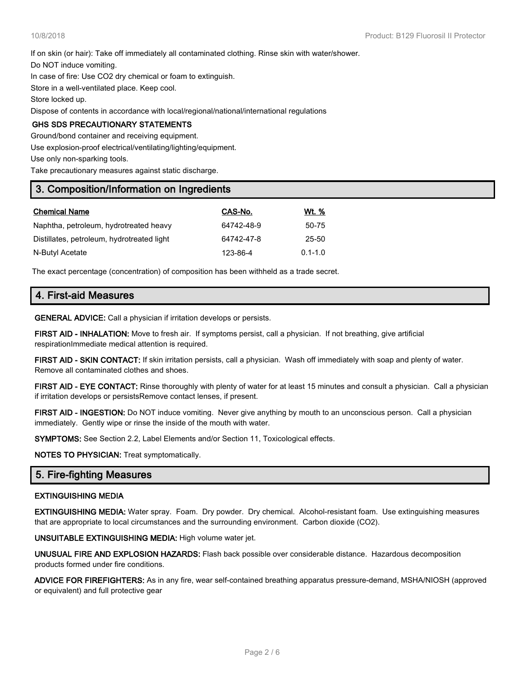If on skin (or hair): Take off immediately all contaminated clothing. Rinse skin with water/shower.

Do NOT induce vomiting.

In case of fire: Use CO2 dry chemical or foam to extinguish.

Store in a well-ventilated place. Keep cool.

Store locked up.

Dispose of contents in accordance with local/regional/national/international regulations

#### **GHS SDS PRECAUTIONARY STATEMENTS**

Ground/bond container and receiving equipment.

Use explosion-proof electrical/ventilating/lighting/equipment.

Use only non-sparking tools.

Take precautionary measures against static discharge.

# **3. Composition/Information on Ingredients**

| <b>Chemical Name</b>                       | CAS-No.    | Wt. %       |
|--------------------------------------------|------------|-------------|
| Naphtha, petroleum, hydrotreated heavy     | 64742-48-9 | 50-75       |
| Distillates, petroleum, hydrotreated light | 64742-47-8 | 25-50       |
| N-Butyl Acetate                            | 123-86-4   | $0.1 - 1.0$ |

The exact percentage (concentration) of composition has been withheld as a trade secret.

# **4. First-aid Measures**

**GENERAL ADVICE:** Call a physician if irritation develops or persists.

**FIRST AID - INHALATION:** Move to fresh air. If symptoms persist, call a physician. If not breathing, give artificial respirationImmediate medical attention is required.

**FIRST AID - SKIN CONTACT:** If skin irritation persists, call a physician. Wash off immediately with soap and plenty of water. Remove all contaminated clothes and shoes.

**FIRST AID - EYE CONTACT:** Rinse thoroughly with plenty of water for at least 15 minutes and consult a physician. Call a physician if irritation develops or persistsRemove contact lenses, if present.

**FIRST AID - INGESTION:** Do NOT induce vomiting. Never give anything by mouth to an unconscious person. Call a physician immediately. Gently wipe or rinse the inside of the mouth with water.

**SYMPTOMS:** See Section 2.2, Label Elements and/or Section 11, Toxicological effects.

**NOTES TO PHYSICIAN:** Treat symptomatically.

# **5. Fire-fighting Measures**

#### **EXTINGUISHING MEDIA**

**EXTINGUISHING MEDIA:** Water spray. Foam. Dry powder. Dry chemical. Alcohol-resistant foam. Use extinguishing measures that are appropriate to local circumstances and the surrounding environment. Carbon dioxide (CO2).

**UNSUITABLE EXTINGUISHING MEDIA:** High volume water jet.

**UNUSUAL FIRE AND EXPLOSION HAZARDS:** Flash back possible over considerable distance. Hazardous decomposition products formed under fire conditions.

**ADVICE FOR FIREFIGHTERS:** As in any fire, wear self-contained breathing apparatus pressure-demand, MSHA/NIOSH (approved or equivalent) and full protective gear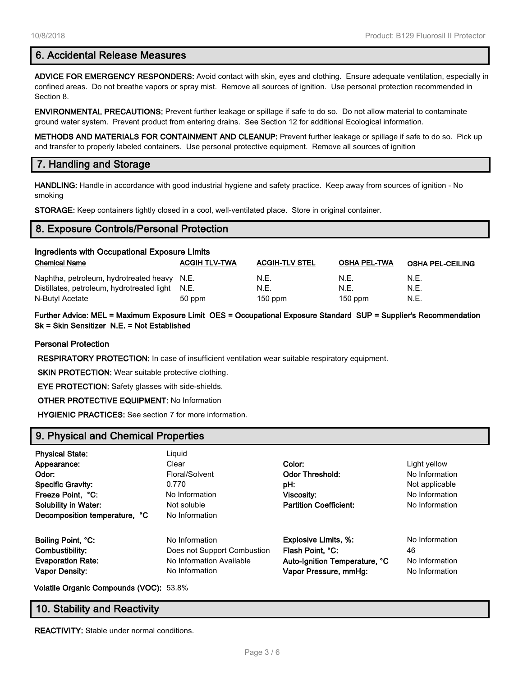#### **6. Accidental Release Measures**

**ADVICE FOR EMERGENCY RESPONDERS:** Avoid contact with skin, eyes and clothing. Ensure adequate ventilation, especially in confined areas. Do not breathe vapors or spray mist. Remove all sources of ignition. Use personal protection recommended in Section 8.

**ENVIRONMENTAL PRECAUTIONS:** Prevent further leakage or spillage if safe to do so. Do not allow material to contaminate ground water system. Prevent product from entering drains. See Section 12 for additional Ecological information.

**METHODS AND MATERIALS FOR CONTAINMENT AND CLEANUP:** Prevent further leakage or spillage if safe to do so. Pick up and transfer to properly labeled containers. Use personal protective equipment. Remove all sources of ignition

# **7. Handling and Storage**

**HANDLING:** Handle in accordance with good industrial hygiene and safety practice. Keep away from sources of ignition - No smoking

**STORAGE:** Keep containers tightly closed in a cool, well-ventilated place. Store in original container.

# **8. Exposure Controls/Personal Protection**

| Ingredients with Occupational Exposure Limits   |                      |                       |                     |                         |  |
|-------------------------------------------------|----------------------|-----------------------|---------------------|-------------------------|--|
| <b>Chemical Name</b>                            | <b>ACGIH TLV-TWA</b> | <b>ACGIH-TLV STEL</b> | <b>OSHA PEL-TWA</b> | <b>OSHA PEL-CEILING</b> |  |
| Naphtha, petroleum, hydrotreated heavy N.E.     |                      | N.E.                  | N.E.                | N.E.                    |  |
| Distillates, petroleum, hydrotreated light N.E. |                      | N.E.                  | N.E.                | N.E.                    |  |
| N-Butyl Acetate                                 | $50$ ppm             | $150$ ppm             | $150$ ppm           | N.E.                    |  |

**Further Advice: MEL = Maximum Exposure Limit OES = Occupational Exposure Standard SUP = Supplier's Recommendation Sk = Skin Sensitizer N.E. = Not Established**

#### **Personal Protection**

**RESPIRATORY PROTECTION:** In case of insufficient ventilation wear suitable respiratory equipment.

**SKIN PROTECTION:** Wear suitable protective clothing.

**EYE PROTECTION:** Safety glasses with side-shields.

**OTHER PROTECTIVE EQUIPMENT:** No Information

**HYGIENIC PRACTICES:** See section 7 for more information.

# **9. Physical and Chemical Properties**

| <b>Physical State:</b>                                                                                                                                                                                                                                                                                                                                          | Liguid                      |                               |                |
|-----------------------------------------------------------------------------------------------------------------------------------------------------------------------------------------------------------------------------------------------------------------------------------------------------------------------------------------------------------------|-----------------------------|-------------------------------|----------------|
| Appearance:                                                                                                                                                                                                                                                                                                                                                     | Clear                       | Color:                        | Light yellow   |
| Odor:                                                                                                                                                                                                                                                                                                                                                           | Floral/Solvent              | <b>Odor Threshold:</b>        | No Information |
| <b>Specific Gravity:</b>                                                                                                                                                                                                                                                                                                                                        | 0.770                       | pH:                           | Not applicable |
| Freeze Point, °C:                                                                                                                                                                                                                                                                                                                                               | No Information              | Viscosity:                    | No Information |
| <b>Solubility in Water:</b>                                                                                                                                                                                                                                                                                                                                     | Not soluble                 | <b>Partition Coefficient:</b> | No Information |
| Decomposition temperature, °C                                                                                                                                                                                                                                                                                                                                   | No Information              |                               |                |
| Boiling Point, °C:                                                                                                                                                                                                                                                                                                                                              | No Information              | <b>Explosive Limits, %:</b>   | No Information |
| Combustibility:                                                                                                                                                                                                                                                                                                                                                 | Does not Support Combustion | Flash Point, °C:              | 46             |
| <b>Evaporation Rate:</b>                                                                                                                                                                                                                                                                                                                                        | No Information Available    | Auto-Ignition Temperature, °C | No Information |
| <b>Vapor Density:</b>                                                                                                                                                                                                                                                                                                                                           | No Information              | Vapor Pressure, mmHg:         | No Information |
| $\mathcal{L}$ . $\mathcal{L}$ . $\mathcal{L}$ . $\mathcal{L}$ . $\mathcal{L}$ . $\mathcal{L}$ . $\mathcal{L}$ . $\mathcal{L}$ . $\mathcal{L}$ . $\mathcal{L}$ . $\mathcal{L}$ . $\mathcal{L}$ . $\mathcal{L}$ . $\mathcal{L}$ . $\mathcal{L}$ . $\mathcal{L}$ . $\mathcal{L}$ . $\mathcal{L}$ . $\mathcal{L}$ . $\mathcal{L}$ . $\mathcal{L}$ . $\mathcal{L}$ . |                             |                               |                |

**Volatile Organic Compounds (VOC):** 53.8%

# **10. Stability and Reactivity**

**REACTIVITY:** Stable under normal conditions.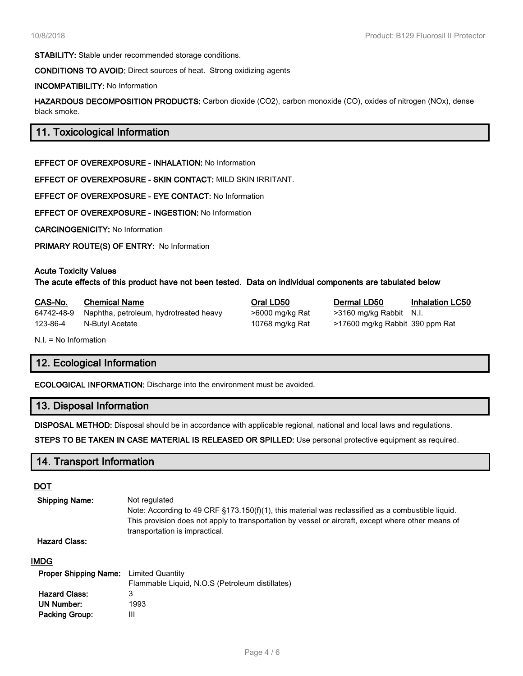**STABILITY:** Stable under recommended storage conditions.

**CONDITIONS TO AVOID:** Direct sources of heat. Strong oxidizing agents

**INCOMPATIBILITY:** No Information

**HAZARDOUS DECOMPOSITION PRODUCTS:** Carbon dioxide (CO2), carbon monoxide (CO), oxides of nitrogen (NOx), dense black smoke.

# **11. Toxicological Information**

**EFFECT OF OVEREXPOSURE - INHALATION:** No Information

**EFFECT OF OVEREXPOSURE - SKIN CONTACT:** MILD SKIN IRRITANT.

**EFFECT OF OVEREXPOSURE - EYE CONTACT:** No Information

**EFFECT OF OVEREXPOSURE - INGESTION:** No Information

**CARCINOGENICITY:** No Information

**PRIMARY ROUTE(S) OF ENTRY:** No Information

#### **Acute Toxicity Values**

**The acute effects of this product have not been tested. Data on individual components are tabulated below**

| CAS-No.    | <b>Chemical Name</b>                   | Oral LD50       | Dermal LD50                     | <b>Inhalation LC50</b> |
|------------|----------------------------------------|-----------------|---------------------------------|------------------------|
| 64742-48-9 | Naphtha, petroleum, hydrotreated heavy | >6000 mg/kg Rat | >3160 mg/kg Rabbit N.I.         |                        |
| 123-86-4   | N-Butyl Acetate                        | 10768 mg/kg Rat | >17600 mg/kg Rabbit 390 ppm Rat |                        |
|            |                                        |                 |                                 |                        |

N.I. = No Information

# **12. Ecological Information**

**ECOLOGICAL INFORMATION:** Discharge into the environment must be avoided.

#### **13. Disposal Information**

**DISPOSAL METHOD:** Disposal should be in accordance with applicable regional, national and local laws and regulations.

**STEPS TO BE TAKEN IN CASE MATERIAL IS RELEASED OR SPILLED:** Use personal protective equipment as required.

# **14. Transport Information**

#### **DOT**

| <b>Shipping Name:</b> | Not regulated                                                                                         |
|-----------------------|-------------------------------------------------------------------------------------------------------|
|                       | Note: According to 49 CRF $\S$ 173.150(f)(1), this material was reclassified as a combustible liquid. |
|                       | This provision does not apply to transportation by vessel or aircraft, except where other means of    |
|                       | transportation is impractical.                                                                        |
| <b>Hazard Class:</b>  |                                                                                                       |

#### **IMDG**

| <b>Proper Shipping Name:</b> Limited Quantity |                                                 |
|-----------------------------------------------|-------------------------------------------------|
|                                               | Flammable Liquid, N.O.S (Petroleum distillates) |
| <b>Hazard Class:</b>                          | З                                               |
| <b>UN Number:</b>                             | 1993                                            |
| Packing Group:                                | Ш                                               |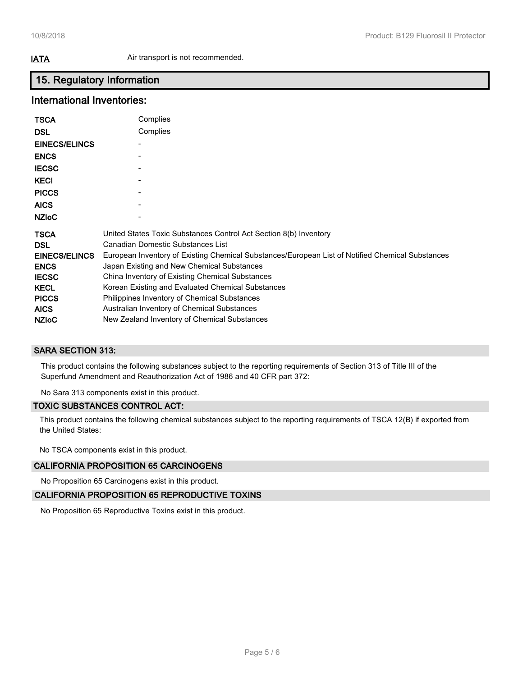**IATA** Air transport is not recommended.

# **15. Regulatory Information**

# **International Inventories:**

| <b>TSCA</b>          | Complies                                                                                         |
|----------------------|--------------------------------------------------------------------------------------------------|
| <b>DSL</b>           | Complies                                                                                         |
| <b>EINECS/ELINCS</b> |                                                                                                  |
| <b>ENCS</b>          |                                                                                                  |
| <b>IECSC</b>         |                                                                                                  |
| <b>KECI</b>          |                                                                                                  |
| <b>PICCS</b>         |                                                                                                  |
| <b>AICS</b>          |                                                                                                  |
| <b>NZIOC</b>         |                                                                                                  |
| <b>TSCA</b>          | United States Toxic Substances Control Act Section 8(b) Inventory                                |
| <b>DSL</b>           | Canadian Domestic Substances List                                                                |
| EINECS/ELINCS        | European Inventory of Existing Chemical Substances/European List of Notified Chemical Substances |
| <b>ENCS</b>          | Japan Existing and New Chemical Substances                                                       |
| <b>IECSC</b>         | China Inventory of Existing Chemical Substances                                                  |
| <b>KECL</b>          | Korean Existing and Evaluated Chemical Substances                                                |
| <b>PICCS</b>         | Philippines Inventory of Chemical Substances                                                     |
| <b>AICS</b>          | Australian Inventory of Chemical Substances                                                      |
| <b>NZIOC</b>         | New Zealand Inventory of Chemical Substances                                                     |

# **SARA SECTION 313:**

This product contains the following substances subject to the reporting requirements of Section 313 of Title III of the Superfund Amendment and Reauthorization Act of 1986 and 40 CFR part 372:

No Sara 313 components exist in this product.

#### **TOXIC SUBSTANCES CONTROL ACT:**

This product contains the following chemical substances subject to the reporting requirements of TSCA 12(B) if exported from the United States:

No TSCA components exist in this product.

#### **CALIFORNIA PROPOSITION 65 CARCINOGENS**

No Proposition 65 Carcinogens exist in this product.

# **CALIFORNIA PROPOSITION 65 REPRODUCTIVE TOXINS**

No Proposition 65 Reproductive Toxins exist in this product.